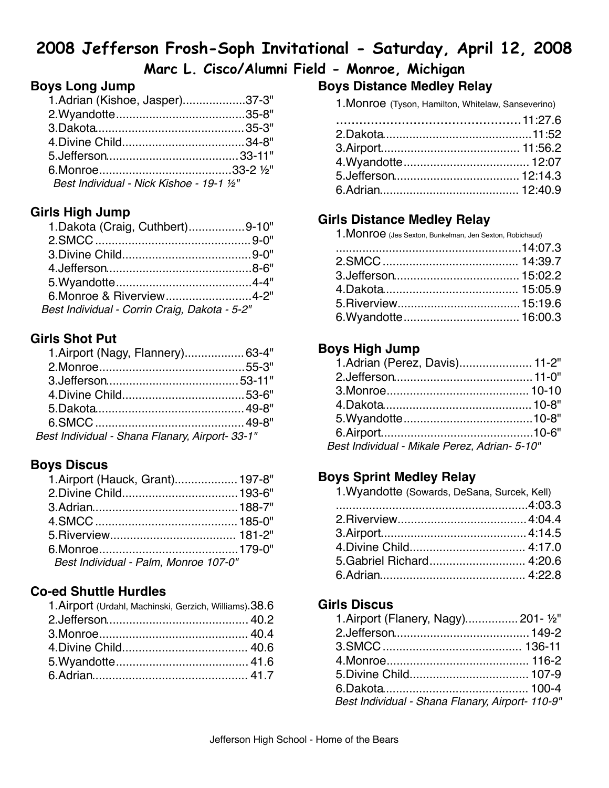# **2008 Jefferson Frosh-Soph Invitational - Saturday, April 12, 2008**

# **Marc L. Cisco/Alumni Field - Monroe, Michigan**

## **Boys Long Jump**

|                                         | 1.Adrian (Kishoe, Jasper)37-3" |
|-----------------------------------------|--------------------------------|
|                                         |                                |
|                                         |                                |
|                                         |                                |
|                                         |                                |
|                                         |                                |
| Best Individual - Nick Kishoe - 19-1 ½" |                                |

## **Girls High Jump**

| 1. Dakota (Craig, Cuthbert)9-10"              |  |
|-----------------------------------------------|--|
|                                               |  |
|                                               |  |
|                                               |  |
|                                               |  |
| 6. Monroe & Riverview 4-2"                    |  |
| Best Individual - Corrin Craig, Dakota - 5-2" |  |

### **Girls Shot Put**

| 1. Airport (Nagy, Flannery) 63-4"               |  |
|-------------------------------------------------|--|
|                                                 |  |
|                                                 |  |
|                                                 |  |
|                                                 |  |
|                                                 |  |
| Best Individual - Shana Flanary, Airport- 33-1" |  |

### **Boys Discus**

| 1. Airport (Hauck, Grant) 197-8"      |  |
|---------------------------------------|--|
|                                       |  |
|                                       |  |
|                                       |  |
|                                       |  |
|                                       |  |
| Best Individual - Palm, Monroe 107-0" |  |

#### **Co-ed Shuttle Hurdles**

| 1. Airport (Urdahl, Machinski, Gerzich, Williams). 38.6 |  |
|---------------------------------------------------------|--|
|                                                         |  |
|                                                         |  |
|                                                         |  |
|                                                         |  |
|                                                         |  |

# **Boys Distance Medley Relay**

1.Monroe (Tyson, Hamilton, Whitelaw, Sanseverino)

### **Girls Distance Medley Relay**

| 1. MONIOC (Jes Sexton, Bunkelman, Jen Sexton, Robichaud) |  |
|----------------------------------------------------------|--|
|                                                          |  |
|                                                          |  |
|                                                          |  |
|                                                          |  |
|                                                          |  |
|                                                          |  |

## **Boys High Jump**

| 1.Adrian (Perez, Davis) 11-2"                 |  |
|-----------------------------------------------|--|
|                                               |  |
|                                               |  |
|                                               |  |
|                                               |  |
|                                               |  |
| Best Individual - Mikale Perez, Adrian- 5-10" |  |

### **Boys Sprint Medley Relay**

| 1. Wyandotte (Sowards, DeSana, Surcek, Kell) |  |
|----------------------------------------------|--|
|                                              |  |
|                                              |  |
|                                              |  |
|                                              |  |
| 5. Gabriel Richard 4:20.6                    |  |
|                                              |  |

### **Girls Discus**

| 1. Airport (Flanery, Nagy) 201- 1/2"             |  |
|--------------------------------------------------|--|
|                                                  |  |
|                                                  |  |
|                                                  |  |
|                                                  |  |
|                                                  |  |
| Best Individual - Shana Flanary, Airport- 110-9" |  |